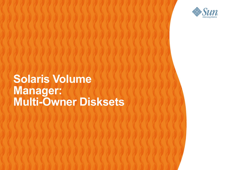

 $\mathcal{O} \mathcal{O} \mathcal{O} \mathcal{O} \mathcal{O}$ 

#### **Solaris Volume**  $QQQQQQ$ **Manager: Multi-Owner Disksets**

1999999999999999999999999

,,,,,,,,,,,,,,,,,,,,,,,,,

1000000000000000000000000

10000000000000000000000000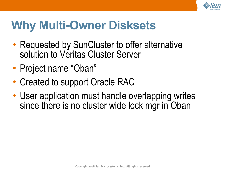

### **Why Multi-Owner Disksets**

- Requested by SunCluster to offer alternative solution to Veritas Cluster Server
- Project name "Oban"
- Created to support Oracle RAC
- User application must handle overlapping writes since there is no cluster wide lock mgr in Oban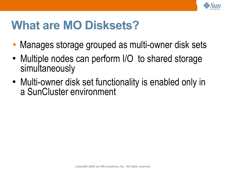

#### **What are MO Disksets?**

- Manages storage grouped as multi-owner disk sets
- Multiple nodes can perform I/O to shared storage simultaneously
- Multi-owner disk set functionality is enabled only in a SunCluster environment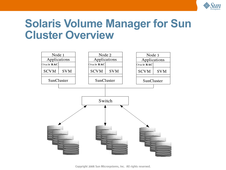

#### **Solaris Volume Manager for Sun Cluster Overview**



Copyright 2006 Sun Microsystems, Inc. All rights reserved.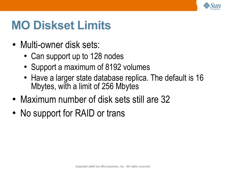

#### **MO Diskset Limits**

- Multi-owner disk sets:
	- Can support up to 128 nodes
	- Support a maximum of 8192 volumes
	- Have a larger state database replica. The default is 16 Mbytes, with a limit of 256 Mbytes
- Maximum number of disk sets still are 32
- No support for RAID or trans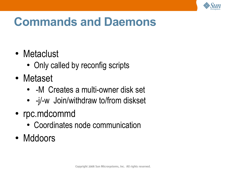

#### **Commands and Daemons**

- Metaclust
	- Only called by reconfig scripts
- Metaset
	- - M Creates a multi-owner disk set
	- -j/-w Join/withdraw to/from diskset
- rpc.mdcommd
	- Coordinates node communication
- Mddoors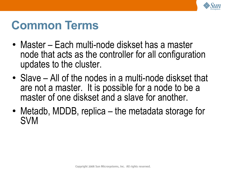

### **Common Terms**

- Master Each multi-node diskset has a master node that acts as the controller for all configuration updates to the cluster.
- $\bullet$  Slave All of the nodes in a multi-node diskset that are not a master. It is possible for a node to be a master of one diskset and a slave for another.
- Metadb, MDDB, replica the metadata storage for SVM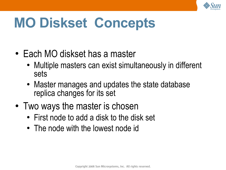

# **MO Diskset Concepts**

- Each MO diskset has a master
	- Multiple masters can exist simultaneously in different sets
	- Master manages and updates the state database replica changes for its set
- Two ways the master is chosen
	- First node to add a disk to the disk set
	- The node with the lowest node id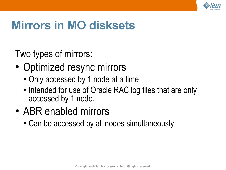

#### **Mirrors in MO disksets**

Two types of mirrors:

- Optimized resync mirrors
	- Only accessed by 1 node at a time
	- Intended for use of Oracle RAC log files that are only accessed by 1 node.
- ABR enabled mirrors
	- Can be accessed by all nodes simultaneously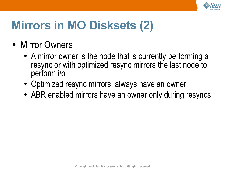

# **Mirrors in MO Disksets (2)**

- Mirror Owners
	- A mirror owner is the node that is currently performing a resync or with optimized resync mirrors the last node to perform i/o
	- Optimized resync mirrors always have an owner
	- ABR enabled mirrors have an owner only during resyncs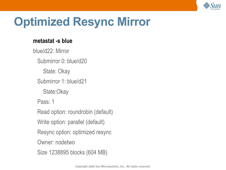

### **Optimized Resync Mirror**

#### **metastat -s blue**

blue/d22: Mirror Submirror 0: blue/d20 State: Okay Submirror 1: blue/d21 State:Okay Pass: 1 Read option: roundrobin (default) Write option: parallel (default) Resync option: optimized resync Owner: nodetwo Size 1238895 blocks (604 MB)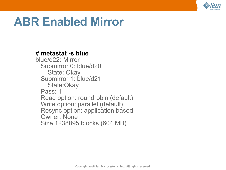

#### **ABR Enabled Mirror**

#### # **metastat -s blue**

blue/d22: Mirror Submirror 0: blue/d20 State: Okay Submirror 1: blue/d21 State:Okay Pass: 1 Read option: roundrobin (default) Write option: parallel (default) Resync option: application based Owner: None Size 1238895 blocks (604 MB)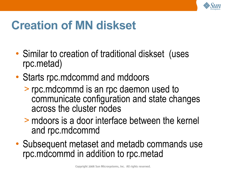

### **Creation of MN diskset**

- Similar to creation of traditional diskset (uses rpc.metad)
- Starts rpc.mdcommd and mddoors
	- > rpc.mdcommd is an rpc daemon used to communicate configuration and state changes across the cluster nodes
	- > mdoors is a door interface between the kernel and rpc.mdcommd
- Subsequent metaset and metadb commands use rpc.mdcommd in addition to rpc.metad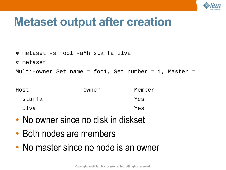

#### **Metaset output after creation**

- # metaset -s foo1 -aMh staffa ulva
- # metaset

Multi-owner Set name = foo1, Set number = 1, Master =

| Host   | Owner | Member |
|--------|-------|--------|
| staffa |       | Yes    |
| ulva   |       | Yes    |

- No owner since no disk in diskset
- Both nodes are members
- No master since no node is an owner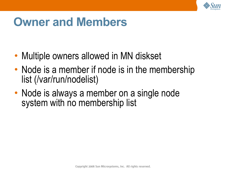

#### **Owner and Members**

- Multiple owners allowed in MN diskset
- Node is a member if node is in the membership list (/var/run/nodelist)
- Node is always a member on a single node system with no membership list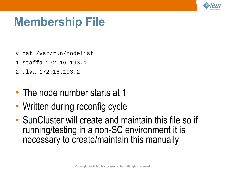

#### **Membership File**

- # cat /var/run/nodelist
- 1 staffa 172.16.193.1
- 2 ulva 172.16.193.2
- The node number starts at 1
- Written during reconfig cycle
- SunCluster will create and maintain this file so if running/testing in a non-SC environment it is necessary to create/maintain this manually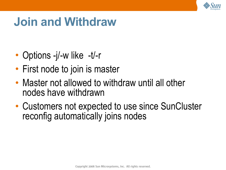

#### **Join and Withdraw**

- Options -j/-w like -t/-r
- First node to join is master
- Master not allowed to withdraw until all other nodes have withdrawn
- Customers not expected to use since SunCluster reconfig automatically joins nodes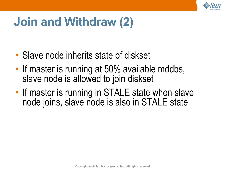

### **Join and Withdraw (2)**

- Slave node inherits state of diskset
- If master is running at 50% available mddbs, slave node is allowed to join diskset
- If master is running in STALE state when slave node joins, slave node is also in STALE state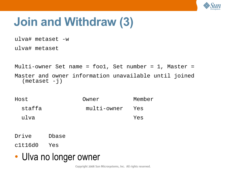

### **Join and Withdraw (3)**

ulva# metaset -w

ulva# metaset

Multi-owner Set name = foo1, Set number = 1, Master = Master and owner information unavailable until joined  $(metaset -j)$ 

Host Owner Member staffa multi-owner Yes ulva Yes

Drive Dbase

c1t16d0 Yes

• Ulva no longer owner

Copyright 2006 Sun Microsystems, Inc. All rights reserved.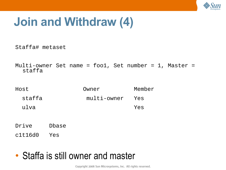

#### **Join and Withdraw (4)**

Staffa# metaset

Multi-owner Set name = foo1, Set number = 1, Master = staffa

| Host   | Owner           | Member |
|--------|-----------------|--------|
| staffa | multi-owner Yes |        |
| ulva   |                 | Yes    |

Drive Dbase

c1t16d0 Yes

#### • Staffa is still owner and master

Copyright 2006 Sun Microsystems, Inc. All rights reserved.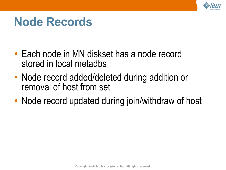

#### **Node Records**

- Each node in MN diskset has a node record stored in local metadbs
- Node record added/deleted during addition or removal of host from set
- Node record updated during join/withdraw of host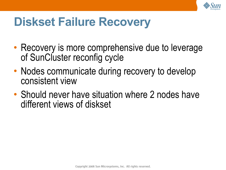

#### **Diskset Failure Recovery**

- Recovery is more comprehensive due to leverage of SunCluster reconfig cycle
- Nodes communicate during recovery to develop consistent view
- Should never have situation where 2 nodes have different views of diskset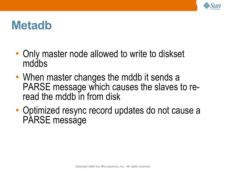

#### **Metadb**

- Only master node allowed to write to diskset mddbs
- When master changes the mddb it sends a PARSE message which causes the slaves to reread the mddb in from disk
- Optimized resync record updates do not cause a PARSE message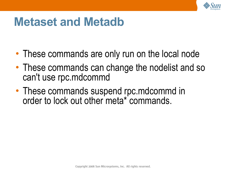

#### **Metaset and Metadb**

- These commands are only run on the local node
- These commands can change the nodelist and so can't use rpc.mdcommd
- These commands suspend rpc.mdcommd in order to lock out other meta\* commands.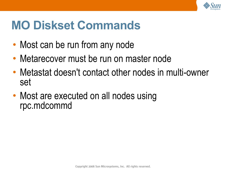

### **MO Diskset Commands**

- Most can be run from any node
- Metarecover must be run on master node
- Metastat doesn't contact other nodes in multi-owner set
- Most are executed on all nodes using rpc.mdcommd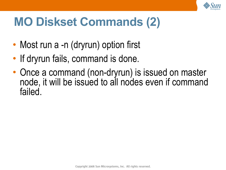

# **MO Diskset Commands (2)**

- Most run a -n (dryrun) option first
- If dryrun fails, command is done.
- Once a command (non-dryrun) is issued on master node, it will be issued to all nodes even if command failed.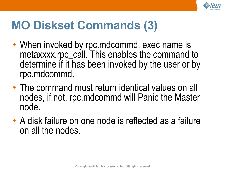

# **MO Diskset Commands (3)**

- When invoked by rpc.mdcommd, exec name is metaxxxx.rpc\_call. This enables the command to determine if it has been invoked by the user or by rpc.mdcommd.
- The command must return identical values on all nodes, if not, rpc.mdcommd will Panic the Master node.
- A disk failure on one node is reflected as a failure on all the nodes.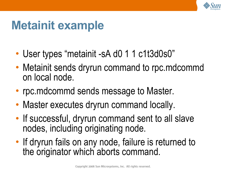

### **Metainit example**

- User types "metainit -sA d0 1 1 c1t3d0s0"
- Metainit sends dryrun command to rpc.mdcommd on local node.
- rpc.mdcommd sends message to Master.
- Master executes dryrun command locally.
- If successful, dryrun command sent to all slave nodes, including originating node.
- If dryrun fails on any node, failure is returned to the originator which aborts command.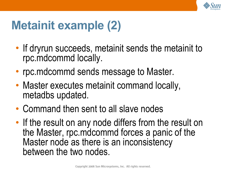

# **Metainit example (2)**

- If dryrun succeeds, metainit sends the metainit to rpc.mdcommd locally.
- rpc.mdcommd sends message to Master.
- Master executes metainit command locally, metadbs updated.
- Command then sent to all slave nodes
- If the result on any node differs from the result on the Master, rpc.mdcommd forces a panic of the Master node as there is an inconsistency between the two nodes.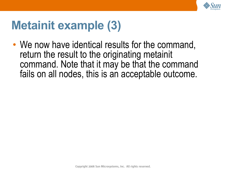

### **Metainit example (3)**

• We now have identical results for the command, return the result to the originating metainit command. Note that it may be that the command fails on all nodes, this is an acceptable outcome.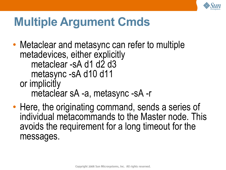

#### **Multiple Argument Cmds**

- Metaclear and metasync can refer to multiple metadevices, either explicitly metaclear -sA d1 d2 d3 metasync -sA d10 d11 or implicitly metaclear sA -a, metasync -sA -r
- Here, the originating command, sends a series of individual metacommands to the Master node. This avoids the requirement for a long timeout for the messages.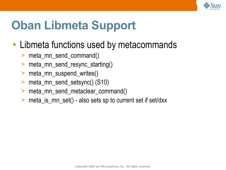

# **Oban Libmeta Support**

- Libmeta functions used by metacommands
	- > meta\_mn\_send\_command()
	- > meta\_mn\_send\_resync\_starting()
	- > meta\_mn\_suspend\_writes()
	- > meta\_mn\_send\_setsync() (S10)
	- > meta\_mn\_send\_metaclear\_command()
	- > meta\_is\_mn\_set() also sets sp to current set if set/dxx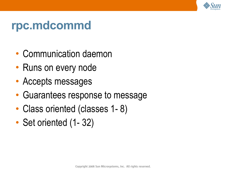

#### **rpc.mdcommd**

- Communication daemon
- Runs on every node
- Accepts messages
- Guarantees response to message
- Class oriented (classes 1-8)
- Set oriented (1-32)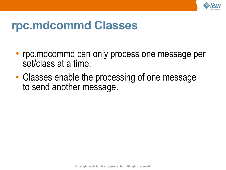

#### **rpc.mdcommd Classes**

- rpc.mdcommd can only process one message per set/class at a time.
- Classes enable the processing of one message to send another message.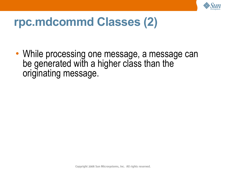

#### **rpc.mdcommd Classes (2)**

• While processing one message, a message can be generated with a higher class than the originating message.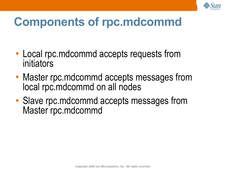

# **Components of rpc.mdcommd**

- Local rpc.mdcommd accepts requests from initiators
- Master rpc.mdcommd accepts messages from local rpc.mdcommd on all nodes
- Slave rpc.mdcommd accepts messages from Master rpc.mdcommd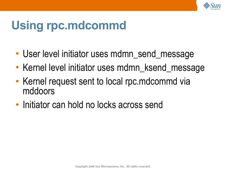

## **Using rpc.mdcommd**

- User level initiator uses mdmn\_send\_message
- Kernel level initiator uses mdmn\_ksend\_message
- Kernel request sent to local rpc.mdcommd via mddoors
- Initiator can hold no locks across send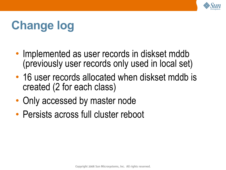

## **Change log**

- Implemented as user records in diskset mddb (previously user records only used in local set)
- 16 user records allocated when diskset mddb is created (2 for each class)
- Only accessed by master node
- Persists across full cluster reboot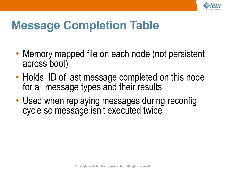

### **Message Completion Table**

- Memory mapped file on each node (not persistent across boot)
- Holds ID of last message completed on this node for all message types and their results
- Used when replaying messages during reconfig cycle so message isn't executed twice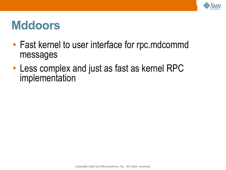

### **Mddoors**

- Fast kernel to user interface for rpc.mdcommd messages
- Less complex and just as fast as kernel RPC implementation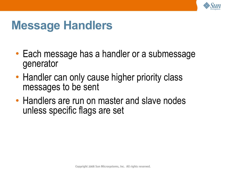

### **Message Handlers**

- Each message has a handler or a submessage generator
- Handler can only cause higher priority class messages to be sent
- Handlers are run on master and slave nodes unless specific flags are set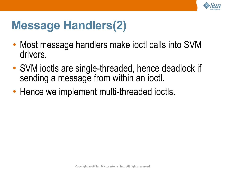

### **Message Handlers(2)**

- Most message handlers make joctl calls into SVM drivers.
- SVM ioctls are single-threaded, hence deadlock if sending a message from within an ioctl.
- Hence we implement multi-threaded ioctls.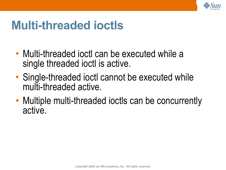

### **Multi-threaded ioctls**

- Multi-threaded joctl can be executed while a single threaded ioctl is active.
- Single-threaded ioctl cannot be executed while multi-threaded active.
- Multiple multi-threaded ioctls can be concurrently active.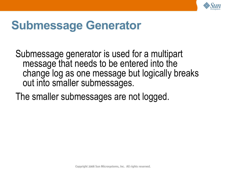

### **Submessage Generator**

Submessage generator is used for a multipart message that needs to be entered into the change log as one message but logically breaks out into smaller submessages.

The smaller submessages are not logged.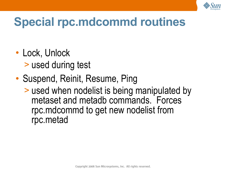

## **Special rpc.mdcommd routines**

- Lock, Unlock > used during test
- Suspend, Reinit, Resume, Ping
	- > used when nodelist is being manipulated by metaset and metadb commands. Forces rpc.mdcommd to get new nodelist from rpc.metad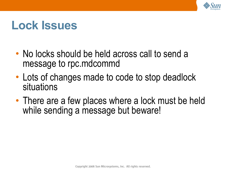

### **Lock Issues**

- No locks should be held across call to send a message to rpc.mdcommd
- Lots of changes made to code to stop deadlock situations
- There are a few places where a lock must be held while sending a message but beware!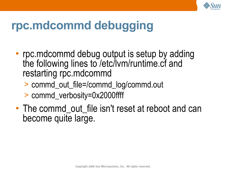

### **rpc.mdcommd debugging**

- rpc.mdcommd debug output is setup by adding the following lines to /etc/lvm/runtime.cf and restarting rpc.mdcommd
	- > commd\_out\_file=/commd\_log/commd.out
	- > commd\_verbosity=0x2000ffff
- The commd out file isn't reset at reboot and can become quite large.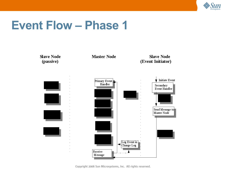

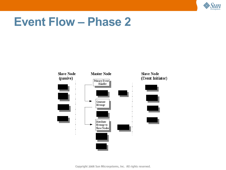

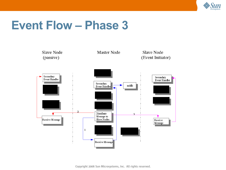

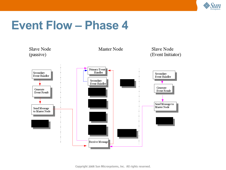

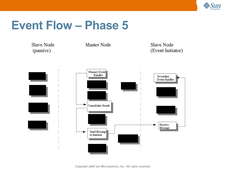

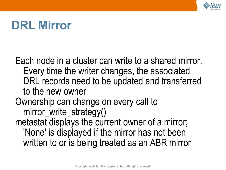

### **DRL Mirror**

Each node in a cluster can write to a shared mirror. Every time the writer changes, the associated DRL records need to be updated and transferred to the new owner Ownership can change on every call to mirror\_write\_strategy() metastat displays the current owner of a mirror; 'None' is displayed if the mirror has not been written to or is being treated as an ABR mirror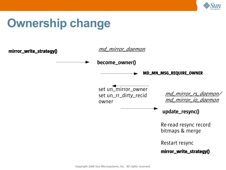

### **Ownership change**

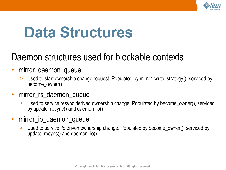

# **Data Structures**

### Daemon structures used for blockable contexts

#### • mirror\_daemon\_queue

> Used to start ownership change request. Populated by mirror\_write\_strategy(), serviced by become\_owner()

#### • mirror\_rs\_daemon\_queue

- > Used to service resync derived ownership change. Populated by become\_owner(), serviced by update\_resync() and daemon\_io()
- mirror\_io\_daemon\_queue
	- > Used to service i/o driven ownership change. Populated by become\_owner(), serviced by update\_resync() and daemon\_io()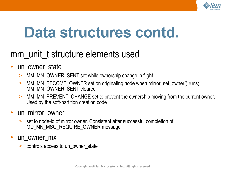

# **Data structures contd.**

### mm\_unit\_t structure elements used

- un owner state
	- > MM\_MN\_OWNER\_SENT set while ownership change in flight
	- > MM\_MN\_BECOME\_OWNER set on originating node when mirror\_set\_owner() runs; MM\_MN\_OWNER\_SENT cleared
	- > MM\_MN\_PREVENT\_CHANGE set to prevent the ownership moving from the current owner. Used by the soft-partition creation code
- un\_mirror\_owner
	- > set to node-id of mirror owner. Consistent after successful completion of MD\_MN\_MSG\_REQUIRE\_OWNER message
- un owner mx
	- > controls access to un\_owner\_state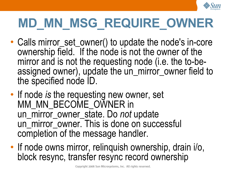

# **MD\_MN\_MSG\_REQUIRE\_OWNER**

- Calls mirror\_set\_owner() to update the node's in-core ownership field. If the node is not the owner of the mirror and is not the requesting node (i.e. the to-beassigned owner), update the un\_mirror\_owner field to the specified node ID.
- If node *is* the requesting new owner, set MM\_MN\_BECOME\_OWNER in un\_mirror\_owner\_state. Do *not* update un\_mirror\_owner. This is done on successful completion of the message handler.
- If node owns mirror, relinquish ownership, drain i/o, block resync, transfer resync record ownership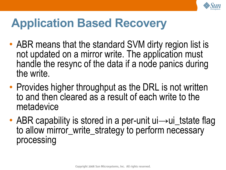

### **Application Based Recovery**

- ABR means that the standard SVM dirty region list is not updated on a mirror write. The application must handle the resync of the data if a node panics during the write.
- Provides higher throughput as the DRL is not written to and then cleared as a result of each write to the metadevice
- ABR capability is stored in a per-unit ui→ui\_tstate flag to allow mirror\_write\_strategy to perform necessary processing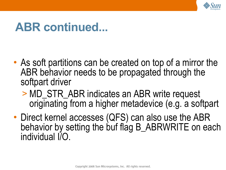

### **ABR continued...**

- As soft partitions can be created on top of a mirror the ABR behavior needs to be propagated through the softpart driver
	- > MD\_STR\_ABR indicates an ABR write request originating from a higher metadevice (e.g. a softpart
- Direct kernel accesses (QFS) can also use the ABR behavior by setting the buf flag B\_ABRWRITE on each individual I/O.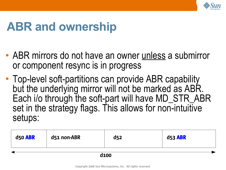

### **ABR and ownership**

- ABR mirrors do not have an owner unless a submirror or component resync is in progress
- Top-level soft-partitions can provide ABR capability but the underlying mirror will not be marked as ABR. Each i/o through the soft-part will have MD\_STR\_ABR set in the strategy flags. This allows for non-intuitive setups:

| d50 ABR          | d51 non-ABR | d <sub>52</sub> | <b>d53 ABR</b> |
|------------------|-------------|-----------------|----------------|
| d <sub>100</sub> |             |                 |                |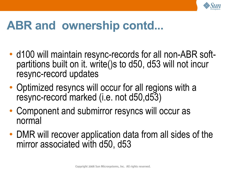

### **ABR and ownership contd...**

- d100 will maintain resync-records for all non-ABR softpartitions built on it. write()s to d50, d53 will not incur resync-record updates
- Optimized resyncs will occur for all regions with a resync-record marked (i.e. not d50,d53)
- Component and submirror resyncs will occur as normal
- DMR will recover application data from all sides of the mirror associated with d50, d53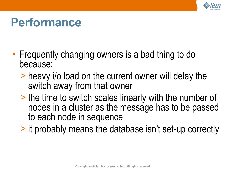

### **Performance**

- Frequently changing owners is a bad thing to do because:
	- > heavy i/o load on the current owner will delay the switch away from that owner
	- > the time to switch scales linearly with the number of nodes in a cluster as the message has to be passed to each node in sequence
	- > it probably means the database isn't set-up correctly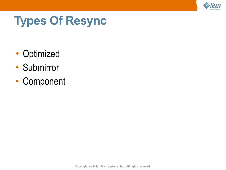

## **Types Of Resync**

- Optimized
- Submirror
- Component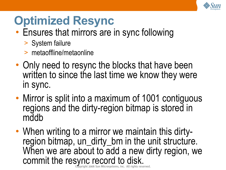

### **Optimized Resync**

- Ensures that mirrors are in sync following
	- > System failure
	- > metaoffline/metaonline
- Only need to resync the blocks that have been written to since the last time we know they were in sync.
- Mirror is split into a maximum of 1001 contiguous regions and the dirty-region bitmap is stored in mddb
- ht 2006 Sun Microsystems, Inc. All rights reserved. • When writing to a mirror we maintain this dirtyregion bitmap, un\_dirty\_bm in the unit structure. When we are about to add a new dirty region, we commit the resync record to disk.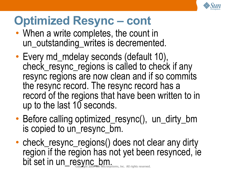

### **Optimized Resync – cont**

- When a write completes, the count in un\_outstanding\_writes is decremented.
- Every md\_mdelay seconds (default 10), check\_resync\_regions is called to check if any resync regions are now clean and if so commits the resync record. The resync record has a record of the regions that have been written to in up to the last 10 seconds.
- Before calling optimized\_resync(), un\_dirty\_bm is copied to un\_resync\_bm.
- <del>u</del>n Microsystems, Inc. All rights reserved. • check\_resync\_regions() does not clear any dirty region if the region has not yet been resynced, ie bit set in un\_resync\_bm.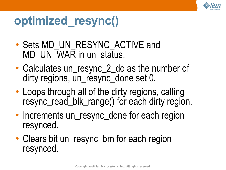

### **optimized\_resync()**

- Sets MD\_UN\_RESYNC\_ACTIVE and MD\_UN\_WAR in un\_status.
- Calculates un\_resync\_2\_do as the number of dirty regions, un\_resync\_done set 0.
- Loops through all of the dirty regions, calling resync\_read\_blk\_range() for each dirty region.
- Increments un\_resync\_done for each region resynced.
- Clears bit un\_resync\_bm for each region resynced.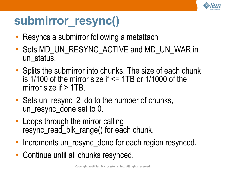

### **submirror\_resync()**

- Resyncs a submirror following a metattach
- Sets MD\_UN\_RESYNC\_ACTIVE and MD\_UN\_WAR in un\_status.
- Splits the submirror into chunks. The size of each chunk is 1/100 of the mirror size if <= 1TB or 1/1000 of the mirror size if  $> 1TB$ .
- Sets un resync 2 do to the number of chunks, un resync done set to 0.
- Loops through the mirror calling resync\_read\_blk\_range() for each chunk.
- Increments un\_resync\_done for each region resynced.
- Continue until all chunks resynced.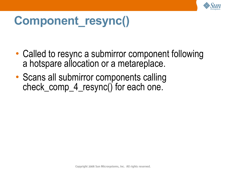

## **Component\_resync()**

- Called to resync a submirror component following a hotspare allocation or a metareplace.
- Scans all submirror components calling check\_comp\_4\_resync() for each one.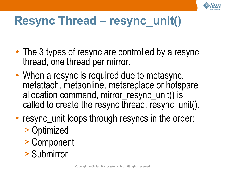

## **Resync Thread – resync\_unit()**

- The 3 types of resync are controlled by a resync thread, one thread per mirror.
- When a resync is required due to metasync, metattach, metaonline, metareplace or hotspare allocation command, mirror\_resync\_unit() is called to create the resync thread, resync\_unit().
- resync\_unit loops through resyncs in the order:
	- > Optimized
	- > Component
	- > Submirror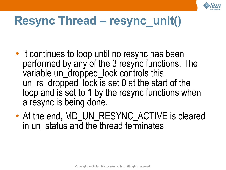

## **Resync Thread – resync\_unit()**

- It continues to loop until no resync has been performed by any of the 3 resync functions. The variable un\_dropped\_lock controls this. un\_rs\_dropped\_lock is set 0 at the start of the loop and is set to 1 by the resync functions when a resync is being done.
- At the end, MD\_UN\_RESYNC\_ACTIVE is cleared in un status and the thread terminates.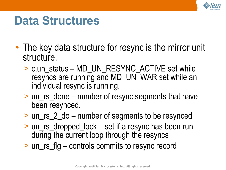

### **Data Structures**

- The key data structure for resync is the mirror unit structure.
	- > c.un\_status MD\_UN\_RESYNC\_ACTIVE set while resyncs are running and MD\_UN\_WAR set while an individual resync is running.
	- > un\_rs\_done number of resync segments that have been resynced.
	- > un\_rs\_2\_do number of segments to be resynced
	- > un\_rs\_dropped\_lock set if a resync has been run during the current loop through the resyncs
	- > un\_rs\_flg controls commits to resync record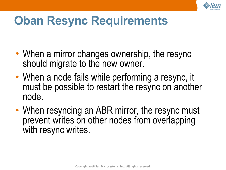

### **Oban Resync Requirements**

- When a mirror changes ownership, the resync should migrate to the new owner.
- When a node fails while performing a resync, it must be possible to restart the resync on another node.
- When resyncing an ABR mirror, the resync must prevent writes on other nodes from overlapping with resync writes.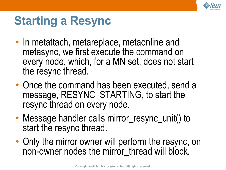

## **Starting a Resync**

- In metattach, metareplace, metaonline and metasync, we first execute the command on every node, which, for a MN set, does not start the resync thread.
- Once the command has been executed, send a message, RESYNC\_STARTING, to start the resync thread on every node.
- Message handler calls mirror\_resync\_unit() to start the resync thread.
- Only the mirror owner will perform the resync, on non-owner nodes the mirror thread will block.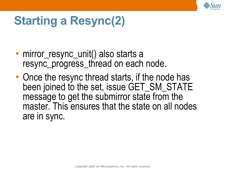

# **Starting a Resync(2)**

- mirror\_resync\_unit() also starts a resync\_progress\_thread on each node.
- Once the resync thread starts, if the node has been joined to the set, issue GET\_SM\_STATE message to get the submirror state from the master. This ensures that the state on all nodes are in sync.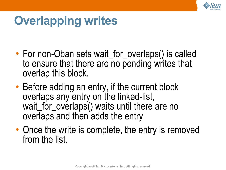

# **Overlapping writes**

- For non-Oban sets wait\_for\_overlaps() is called to ensure that there are no pending writes that overlap this block.
- Before adding an entry, if the current block overlaps any entry on the linked-list, wait\_for\_overlaps() waits until there are no overlaps and then adds the entry
- Once the write is complete, the entry is removed from the list.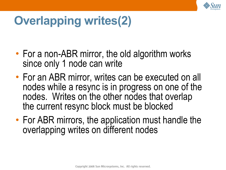

# **Overlapping writes(2)**

- For a non-ABR mirror, the old algorithm works since only 1 node can write
- For an ABR mirror, writes can be executed on all nodes while a resync is in progress on one of the nodes. Writes on the other nodes that overlap the current resync block must be blocked
- For ABR mirrors, the application must handle the overlapping writes on different nodes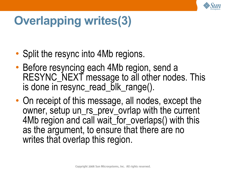

# **Overlapping writes(3)**

- Split the resync into 4Mb regions.
- Before resyncing each 4Mb region, send a RESYNC\_NEXT message to all other nodes. This is done in resync\_read\_blk\_range().
- On receipt of this message, all nodes, except the owner, setup un\_rs\_prev\_ovrlap with the current 4Mb region and call wait\_for\_overlaps() with this as the argument, to ensure that there are no writes that overlap this region.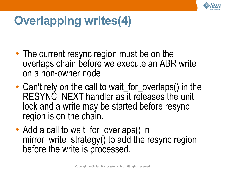

# **Overlapping writes(4)**

- The current resync region must be on the overlaps chain before we execute an ABR write on a non-owner node.
- Can't rely on the call to wait\_for\_overlaps() in the RESYNC NEXT handler as it releases the unit lock and a write may be started before resync region is on the chain.
- Add a call to wait\_for\_overlaps() in mirror\_write\_strategy() to add the resync region before the write is processed.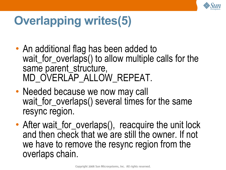

# **Overlapping writes(5)**

- An additional flag has been added to wait\_for\_overlaps() to allow multiple calls for the same parent\_structure, MD\_OVERLAP\_ALLOW\_REPEAT.
- Needed because we now may call wait for overlaps() several times for the same resync region.
- After wait\_for\_overlaps(), reacquire the unit lock and then check that we are still the owner. If not we have to remove the resync region from the overlaps chain.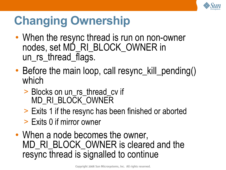

# **Changing Ownership**

- When the resync thread is run on non-owner nodes, set MD\_RI\_BLOCK\_OWNER in un rs thread flags.
- Before the main loop, call resync\_kill\_pending() which
	- > Blocks on un\_rs\_thread\_cv if MD\_RI\_BLOCK\_OWNER
	- > Exits 1 if the resync has been finished or aborted
	- > Exits 0 if mirror owner
- When a node becomes the owner, MD\_RI\_BLOCK\_OWNER is cleared and the resync thread is signalled to continue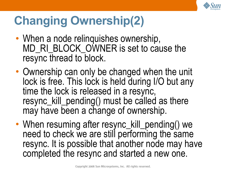

# **Changing Ownership(2)**

- When a node relinquishes ownership, MD\_RI\_BLOCK\_OWNER is set to cause the resync thread to block.
- Ownership can only be changed when the unit lock is free. This lock is held during I/O but any time the lock is released in a resync, resync\_kill\_pending() must be called as there may have been a change of ownership.
- When resuming after resync\_kill\_pending() we need to check we are still performing the same resync. It is possible that another node may have completed the resync and started a new one.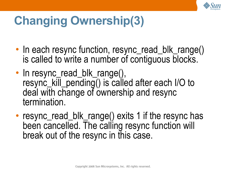

# **Changing Ownership(3)**

- In each resync function, resync\_read\_blk\_range() is called to write a number of contiguous blocks.
- In resync\_read\_blk\_range(), resync\_kill\_pending() is called after each I/O to deal with change of ownership and resync termination.
- resync\_read\_blk\_range() exits 1 if the resync has been cancelled. The calling resync function will break out of the resync in this case.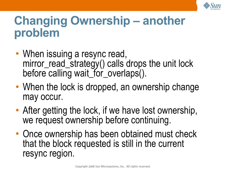

#### **Changing Ownership – another problem**

- When issuing a resync read, mirror\_read\_strategy() calls drops the unit lock before calling wait\_for\_overlaps().
- When the lock is dropped, an ownership change may occur.
- After getting the lock, if we have lost ownership, we request ownership before continuing.
- Once ownership has been obtained must check that the block requested is still in the current resync region.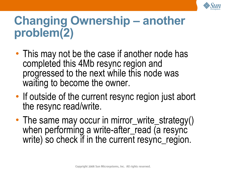

## **Changing Ownership – another problem(2)**

- This may not be the case if another node has completed this 4Mb resync region and progressed to the next while this node was waiting to become the owner.
- If outside of the current resync region just abort the resync read/write.
- The same may occur in mirror\_write\_strategy() when performing a write-after\_read (a resync write) so check if in the current resync\_region.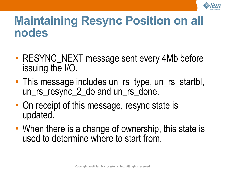

#### **Maintaining Resync Position on all nodes**

- RESYNC NEXT message sent every 4Mb before issuing the I/O.
- This message includes un\_rs\_type, un\_rs\_startbl, un\_rs\_resync\_2\_do and un\_rs\_done.
- On receipt of this message, resync state is updated.
- When there is a change of ownership, this state is used to determine where to start from.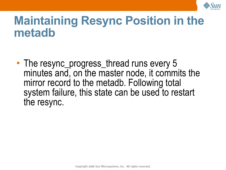

#### **Maintaining Resync Position in the metadb**

• The resync\_progress\_thread runs every 5 minutes and, on the master node, it commits the mirror record to the metadb. Following total system failure, this state can be used to restart the resync.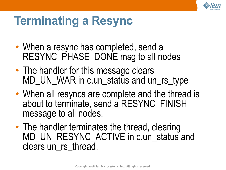

### **Terminating a Resync**

- When a resync has completed, send a RESYNC\_PHASE\_DONE msg to all nodes
- The handler for this message clears MD\_UN\_WAR in c.un\_status and un\_rs\_type
- When all resyncs are complete and the thread is about to terminate, send a RESYNC\_FINISH message to all nodes.
- The handler terminates the thread, clearing MD\_UN\_RESYNC\_ACTIVE in c.un\_status and clears un rs thread.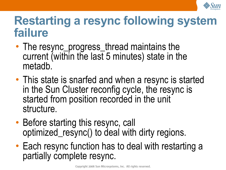

#### **Restarting a resync following system failure**

- The resync\_progress\_thread maintains the current (within the last 5 minutes) state in the metadb.
- This state is snarfed and when a resync is started in the Sun Cluster reconfig cycle, the resync is started from position recorded in the unit structure.
- Before starting this resync, call optimized\_resync() to deal with dirty regions.
- Each resync function has to deal with restarting a partially complete resync.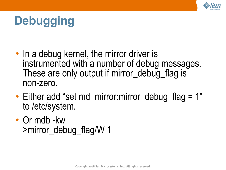

# **Debugging**

- In a debug kernel, the mirror driver is instrumented with a number of debug messages. These are only output if mirror\_debug flag is non-zero.
- Either add "set md\_mirror:mirror\_debug\_flag = 1" to /etc/system.
- Or mdb -kw >mirror\_debug\_flag/W 1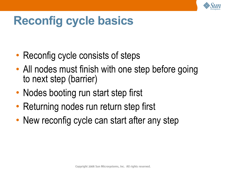

## **Reconfig cycle basics**

- Reconfig cycle consists of steps
- All nodes must finish with one step before going to next step (barrier)
- Nodes booting run start step first
- Returning nodes run return step first
- New reconfig cycle can start after any step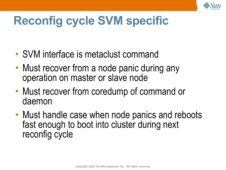

# **Reconfig cycle SVM specific**

- SVM interface is metaclust command
- Must recover from a node panic during any operation on master or slave node
- Must recover from coredump of command or daemon
- Must handle case when node panics and reboots fast enough to boot into cluster during next reconfig cycle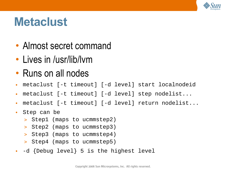

### **Metaclust**

- Almost secret command
- Lives in /usr/lib/lym
- Runs on all nodes
- metaclust [-t timeout] [-d level] start localnodeid
- metaclust [-t timeout] [-d level] step nodelist...
- metaclust [-t timeout] [-d level] return nodelist...
- Step can be
	- > Step1 (maps to ucmmstep2)
	- > Step2 (maps to ucmmstep3)
	- > Step3 (maps to ucmmstep4)
	- > Step4 (maps to ucmmstep5)
- -d {Debug level} 5 is the highest level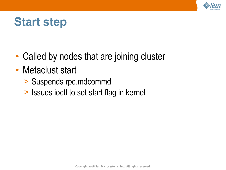

### **Start step**

- Called by nodes that are joining cluster
- Metaclust start
	- > Suspends rpc.mdcommd
	- > Issues ioctl to set start flag in kernel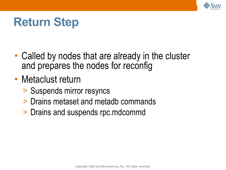

## **Return Step**

- Called by nodes that are already in the cluster and prepares the nodes for reconfig
- Metaclust return
	- > Suspends mirror resyncs
	- > Drains metaset and metadb commands
	- > Drains and suspends rpc.mdcommd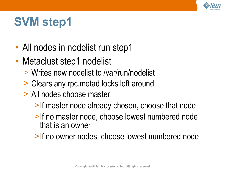

- All nodes in nodelist run step1
- Metaclust step1 nodelist
	- > Writes new nodelist to /var/run/nodelist
	- > Clears any rpc.metad locks left around
	- > All nodes choose master
		- >If master node already chosen, choose that node
		- >If no master node, choose lowest numbered node that is an owner
		- >If no owner nodes, choose lowest numbered node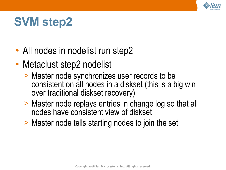

- All nodes in nodelist run step2
- Metaclust step2 nodelist
	- > Master node synchronizes user records to be consistent on all nodes in a diskset (this is a big win over traditional diskset recovery)
	- > Master node replays entries in change log so that all nodes have consistent view of diskset
	- > Master node tells starting nodes to join the set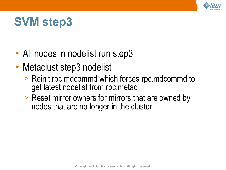

- All nodes in nodelist run step3
- Metaclust step3 nodelist
	- > Reinit rpc.mdcommd which forces rpc.mdcommd to get latest nodelist from rpc.metad
	- > Reset mirror owners for mirrors that are owned by nodes that are no longer in the cluster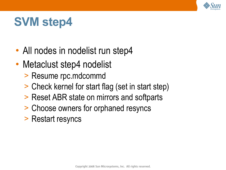

- All nodes in nodelist run step4
- Metaclust step4 nodelist
	- > Resume rpc.mdcommd
	- > Check kernel for start flag (set in start step)
	- > Reset ABR state on mirrors and softparts
	- > Choose owners for orphaned resyncs
	- > Restart resyncs